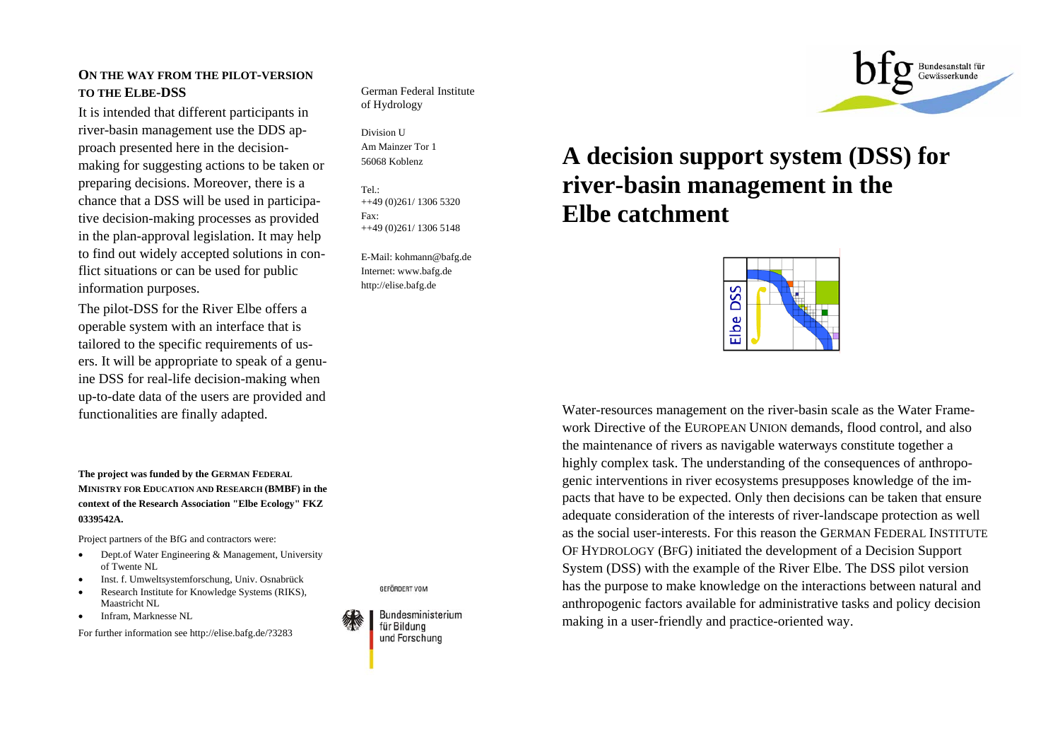## **ON THE WAY FROM THE PILOT-VERSION TO THE ELBE-DSS**

It is intended that different participants in river-basin management use the DDS approach presented here in the decisionmaking for suggesting actions to be taken or preparing decisions. Moreover, there is a chance that a DSS will be used in participative decision-making processes as provided in the plan-approval legislation. It may help to find out widely accepted solutions in conflict situations or can be used for public information purposes.

The pilot-DSS for the River Elbe offers a operable system with an interface that is tailored to the specific requirements of users. It will be appropriate to speak of a genuine DSS for real-life decision-making when up-to-date data of the users are provided and functionalities are finally adapted.

**The project was funded by the GERMAN FEDERAL MINISTRY FOR EDUCATION AND RESEARCH (BMBF) in the context of the Research Association "Elbe Ecology" FKZ 0339542A.** 

Project partners of the BfG and contractors were:

- • Dept.of Water Engineering & Management, University of Twente NL
- •Inst. f. Umweltsystemforschung, Univ. Osnabrück
- • Research Institute for Knowledge Systems (RIKS), Maastricht NL
- •Infram, Marknesse NL

For further information see http://elise.bafg.de/?3283



Division U Am Mainzer Tor 1 56068 Koblenz

Tel.: ++49 (0)261/ 1306 5320 Fax: ++49 (0)261/ 1306 5148

E-Mail: kohmann@bafg.de Internet: www.bafg.de http://elise.bafg.de

# **A decision support system (DSS) for river-basin management in the Elbe catchment**



Water-resources management on the river-basin scale as the Water Framework Directive of the EUROPEAN UNION demands, flood control, and also the maintenance of rivers as navigable waterways constitute together a highly complex task. The understanding of the consequences of anthropogenic interventions in river ecosystems presupposes knowledge of the impacts that have to be expected. Only then decisions can be taken that ensure adequate consideration of the interests of river-landscape protection as well as the social user-interests. For this reason the GERMAN FEDERAL INSTITUTE OF HYDROLOGY (B FG) initiated the development of a Decision Support System (DSS) with the example of the River Elbe. The DSS pilot version has the purpose to make knowledge on the interactions between natural and anthropogenic factors available for administrative tasks and policy decision making in a user-friendly and practice-oriented way.



**GEFÖRDERT VOM**